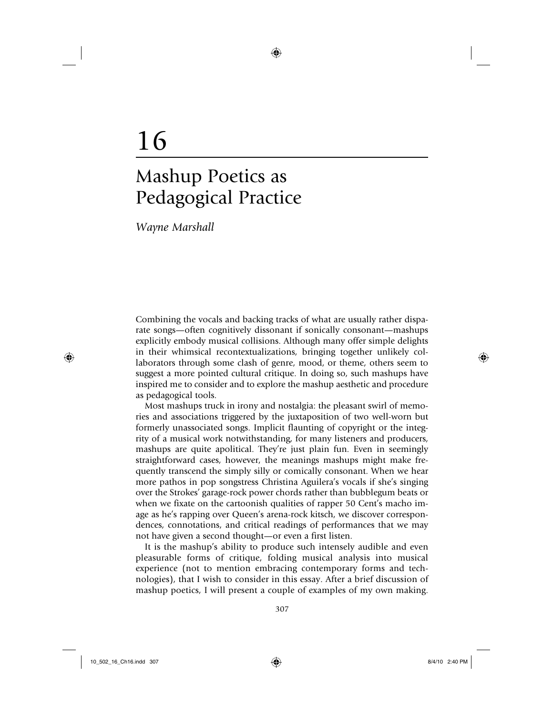# 16

# Mashup Poetics as Pedagogical Practice

*Wayne Marshall*

Combining the vocals and backing tracks of what are usually rather disparate songs—often cognitively dissonant if sonically consonant—mashups explicitly embody musical collisions. Although many offer simple delights in their whimsical recontextualizations, bringing together unlikely collaborators through some clash of genre, mood, or theme, others seem to suggest a more pointed cultural critique. In doing so, such mashups have inspired me to consider and to explore the mashup aesthetic and procedure as pedagogical tools.

⊕

Most mashups truck in irony and nostalgia: the pleasant swirl of memories and associations triggered by the juxtaposition of two well-worn but formerly unassociated songs. Implicit flaunting of copyright or the integrity of a musical work notwithstanding, for many listeners and producers, mashups are quite apolitical. They're just plain fun. Even in seemingly straightforward cases, however, the meanings mashups might make frequently transcend the simply silly or comically consonant. When we hear more pathos in pop songstress Christina Aguilera's vocals if she's singing over the Strokes' garage-rock power chords rather than bubblegum beats or when we fixate on the cartoonish qualities of rapper 50 Cent's macho image as he's rapping over Queen's arena-rock kitsch, we discover correspondences, connotations, and critical readings of performances that we may not have given a second thought—or even a first listen.

It is the mashup's ability to produce such intensely audible and even pleasurable forms of critique, folding musical analysis into musical experience (not to mention embracing contemporary forms and technologies), that I wish to consider in this essay. After a brief discussion of mashup poetics, I will present a couple of examples of my own making.

 $\bigoplus$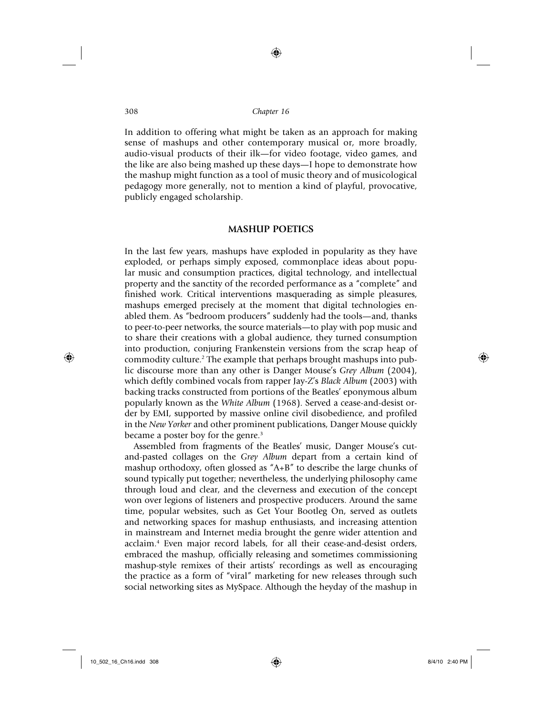⊕

In addition to offering what might be taken as an approach for making sense of mashups and other contemporary musical or, more broadly, audio-visual products of their ilk—for video footage, video games, and the like are also being mashed up these days—I hope to demonstrate how the mashup might function as a tool of music theory and of musicological pedagogy more generally, not to mention a kind of playful, provocative, publicly engaged scholarship.

# **MASHUP POETICS**

In the last few years, mashups have exploded in popularity as they have exploded, or perhaps simply exposed, commonplace ideas about popular music and consumption practices, digital technology, and intellectual property and the sanctity of the recorded performance as a "complete" and finished work. Critical interventions masquerading as simple pleasures, mashups emerged precisely at the moment that digital technologies enabled them. As "bedroom producers" suddenly had the tools—and, thanks to peer-to-peer networks, the source materials—to play with pop music and to share their creations with a global audience, they turned consumption into production, conjuring Frankenstein versions from the scrap heap of commodity culture.<sup>2</sup> The example that perhaps brought mashups into public discourse more than any other is Danger Mouse's *Grey Album* (2004), which deftly combined vocals from rapper Jay-Z's *Black Album* (2003) with backing tracks constructed from portions of the Beatles' eponymous album popularly known as the *White Album* (1968). Served a cease-and-desist order by EMI, supported by massive online civil disobedience, and profiled in the *New Yorker* and other prominent publications, Danger Mouse quickly became a poster boy for the genre.<sup>3</sup>

Assembled from fragments of the Beatles' music, Danger Mouse's cutand-pasted collages on the *Grey Album* depart from a certain kind of mashup orthodoxy, often glossed as "A+B" to describe the large chunks of sound typically put together; nevertheless, the underlying philosophy came through loud and clear, and the cleverness and execution of the concept won over legions of listeners and prospective producers. Around the same time, popular websites, such as Get Your Bootleg On, served as outlets and networking spaces for mashup enthusiasts, and increasing attention in mainstream and Internet media brought the genre wider attention and acclaim.4 Even major record labels, for all their cease-and-desist orders, embraced the mashup, officially releasing and sometimes commissioning mashup-style remixes of their artists' recordings as well as encouraging the practice as a form of "viral" marketing for new releases through such social networking sites as MySpace. Although the heyday of the mashup in

 $\bigoplus$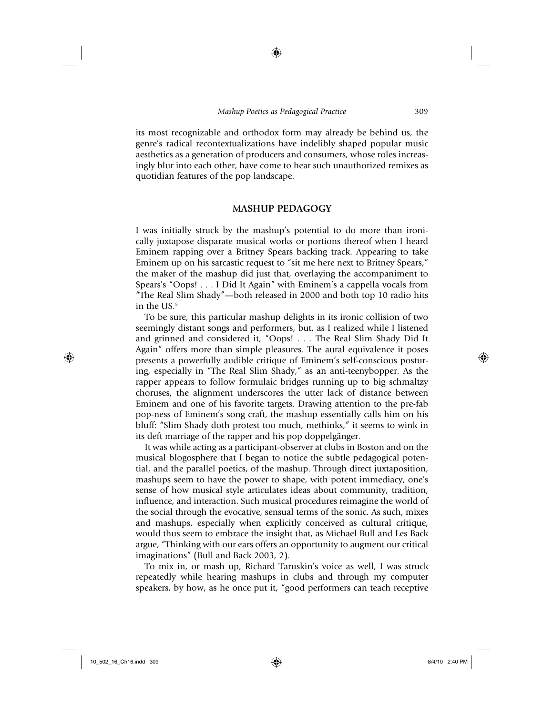⊕

its most recognizable and orthodox form may already be behind us, the genre's radical recontextualizations have indelibly shaped popular music aesthetics as a generation of producers and consumers, whose roles increasingly blur into each other, have come to hear such unauthorized remixes as quotidian features of the pop landscape.

## **MASHUP PEDAGOGY**

I was initially struck by the mashup's potential to do more than ironically juxtapose disparate musical works or portions thereof when I heard Eminem rapping over a Britney Spears backing track. Appearing to take Eminem up on his sarcastic request to "sit me here next to Britney Spears," the maker of the mashup did just that, overlaying the accompaniment to Spears's "Oops! . . . I Did It Again" with Eminem's a cappella vocals from "The Real Slim Shady"—both released in 2000 and both top 10 radio hits in the US.<sup>5</sup>

To be sure, this particular mashup delights in its ironic collision of two seemingly distant songs and performers, but, as I realized while I listened and grinned and considered it, "Oops! . . . The Real Slim Shady Did It Again" offers more than simple pleasures. The aural equivalence it poses presents a powerfully audible critique of Eminem's self-conscious posturing, especially in "The Real Slim Shady," as an anti-teenybopper. As the rapper appears to follow formulaic bridges running up to big schmaltzy choruses, the alignment underscores the utter lack of distance between Eminem and one of his favorite targets. Drawing attention to the pre-fab pop-ness of Eminem's song craft, the mashup essentially calls him on his bluff: "Slim Shady doth protest too much, methinks," it seems to wink in its deft marriage of the rapper and his pop doppelgänger.

It was while acting as a participant-observer at clubs in Boston and on the musical blogosphere that I began to notice the subtle pedagogical potential, and the parallel poetics, of the mashup. Through direct juxtaposition, mashups seem to have the power to shape, with potent immediacy, one's sense of how musical style articulates ideas about community, tradition, influence, and interaction. Such musical procedures reimagine the world of the social through the evocative, sensual terms of the sonic. As such, mixes and mashups, especially when explicitly conceived as cultural critique, would thus seem to embrace the insight that, as Michael Bull and Les Back argue, "Thinking with our ears offers an opportunity to augment our critical imaginations" (Bull and Back 2003, 2).

To mix in, or mash up, Richard Taruskin's voice as well, I was struck repeatedly while hearing mashups in clubs and through my computer speakers, by how, as he once put it, "good performers can teach receptive

 $\bigoplus$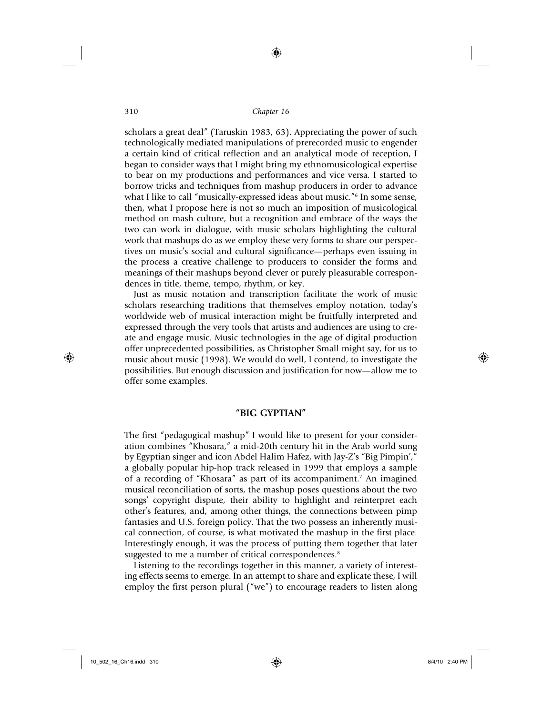⊕

scholars a great deal" (Taruskin 1983, 63). Appreciating the power of such technologically mediated manipulations of prerecorded music to engender a certain kind of critical reflection and an analytical mode of reception, I began to consider ways that I might bring my ethnomusicological expertise to bear on my productions and performances and vice versa. I started to borrow tricks and techniques from mashup producers in order to advance what I like to call "musically-expressed ideas about music."6 In some sense, then, what I propose here is not so much an imposition of musicological method on mash culture, but a recognition and embrace of the ways the two can work in dialogue, with music scholars highlighting the cultural work that mashups do as we employ these very forms to share our perspectives on music's social and cultural significance—perhaps even issuing in the process a creative challenge to producers to consider the forms and meanings of their mashups beyond clever or purely pleasurable correspondences in title, theme, tempo, rhythm, or key.

Just as music notation and transcription facilitate the work of music scholars researching traditions that themselves employ notation, today's worldwide web of musical interaction might be fruitfully interpreted and expressed through the very tools that artists and audiences are using to create and engage music. Music technologies in the age of digital production offer unprecedented possibilities, as Christopher Small might say, for us to music about music (1998). We would do well, I contend, to investigate the possibilities. But enough discussion and justification for now—allow me to offer some examples.

#### **"BIG GYPTIAN"**

The first "pedagogical mashup" I would like to present for your consideration combines "Khosara," a mid-20th century hit in the Arab world sung by Egyptian singer and icon Abdel Halim Hafez, with Jay-Z's "Big Pimpin'," a globally popular hip-hop track released in 1999 that employs a sample of a recording of "Khosara" as part of its accompaniment.<sup>7</sup> An imagined musical reconciliation of sorts, the mashup poses questions about the two songs' copyright dispute, their ability to highlight and reinterpret each other's features, and, among other things, the connections between pimp fantasies and U.S. foreign policy. That the two possess an inherently musical connection, of course, is what motivated the mashup in the first place. Interestingly enough, it was the process of putting them together that later suggested to me a number of critical correspondences.<sup>8</sup>

Listening to the recordings together in this manner, a variety of interesting effects seems to emerge. In an attempt to share and explicate these, I will employ the first person plural ("we") to encourage readers to listen along

 $\bigoplus$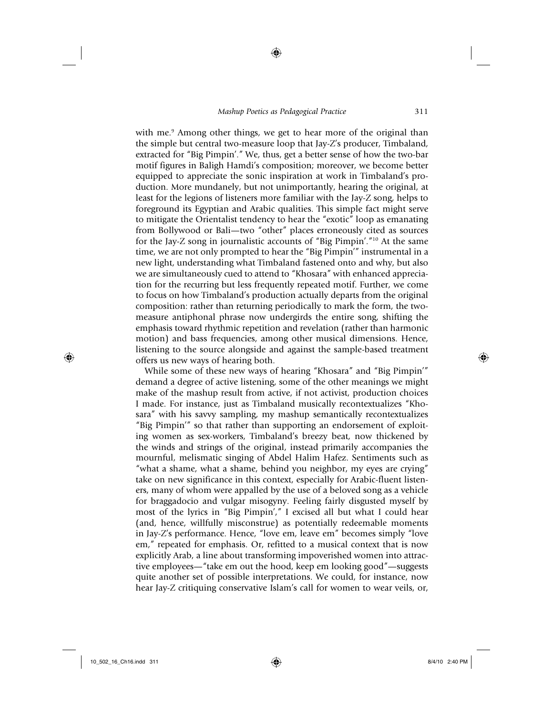⊕

with me.<sup>9</sup> Among other things, we get to hear more of the original than the simple but central two-measure loop that Jay-Z's producer, Timbaland, extracted for "Big Pimpin'." We, thus, get a better sense of how the two-bar motif figures in Baligh Hamdi's composition; moreover, we become better equipped to appreciate the sonic inspiration at work in Timbaland's production. More mundanely, but not unimportantly, hearing the original, at least for the legions of listeners more familiar with the Jay-Z song, helps to foreground its Egyptian and Arabic qualities. This simple fact might serve to mitigate the Orientalist tendency to hear the "exotic" loop as emanating from Bollywood or Bali—two "other" places erroneously cited as sources for the Jay-Z song in journalistic accounts of "Big Pimpin'."10 At the same time, we are not only prompted to hear the "Big Pimpin'" instrumental in a new light, understanding what Timbaland fastened onto and why, but also we are simultaneously cued to attend to "Khosara" with enhanced appreciation for the recurring but less frequently repeated motif. Further, we come to focus on how Timbaland's production actually departs from the original composition: rather than returning periodically to mark the form, the twomeasure antiphonal phrase now undergirds the entire song, shifting the emphasis toward rhythmic repetition and revelation (rather than harmonic motion) and bass frequencies, among other musical dimensions. Hence, listening to the source alongside and against the sample-based treatment offers us new ways of hearing both.

While some of these new ways of hearing "Khosara" and "Big Pimpin'" demand a degree of active listening, some of the other meanings we might make of the mashup result from active, if not activist, production choices I made. For instance, just as Timbaland musically recontextualizes "Khosara" with his savvy sampling, my mashup semantically recontextualizes "Big Pimpin'" so that rather than supporting an endorsement of exploiting women as sex-workers, Timbaland's breezy beat, now thickened by the winds and strings of the original, instead primarily accompanies the mournful, melismatic singing of Abdel Halim Hafez. Sentiments such as "what a shame, what a shame, behind you neighbor, my eyes are crying" take on new significance in this context, especially for Arabic-fluent listeners, many of whom were appalled by the use of a beloved song as a vehicle for braggadocio and vulgar misogyny. Feeling fairly disgusted myself by most of the lyrics in "Big Pimpin'," I excised all but what I could hear (and, hence, willfully misconstrue) as potentially redeemable moments in Jay-Z's performance. Hence, "love em, leave em" becomes simply "love em," repeated for emphasis. Or, refitted to a musical context that is now explicitly Arab, a line about transforming impoverished women into attractive employees—"take em out the hood, keep em looking good"—suggests quite another set of possible interpretations. We could, for instance, now hear Jay-Z critiquing conservative Islam's call for women to wear veils, or,

 $\bigoplus$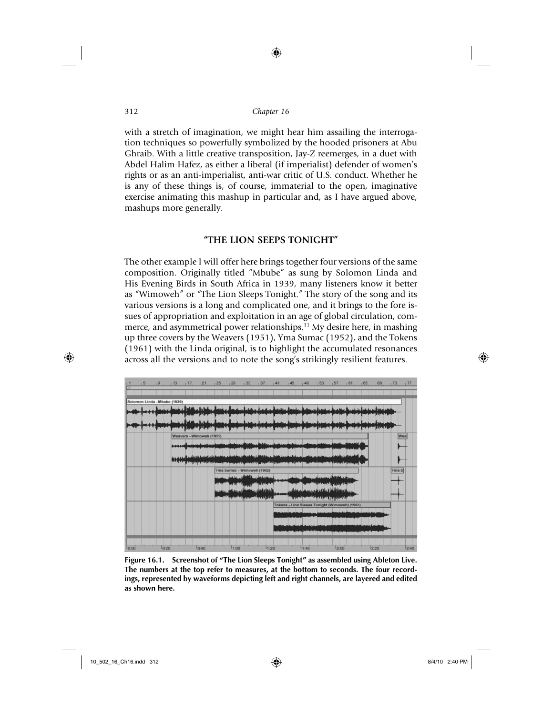⊕

with a stretch of imagination, we might hear him assailing the interrogation techniques so powerfully symbolized by the hooded prisoners at Abu Ghraib. With a little creative transposition, Jay-Z reemerges, in a duet with Abdel Halim Hafez, as either a liberal (if imperialist) defender of women's rights or as an anti-imperialist, anti-war critic of U.S. conduct. Whether he is any of these things is, of course, immaterial to the open, imaginative exercise animating this mashup in particular and, as I have argued above, mashups more generally.

# **"THE LION SEEPS TONIGHT"**

The other example I will offer here brings together four versions of the same composition. Originally titled "Mbube" as sung by Solomon Linda and His Evening Birds in South Africa in 1939, many listeners know it better as "Wimoweh" or "The Lion Sleeps Tonight." The story of the song and its various versions is a long and complicated one, and it brings to the fore issues of appropriation and exploitation in an age of global circulation, commerce, and asymmetrical power relationships.<sup>11</sup> My desire here, in mashing up three covers by the Weavers (1951), Yma Sumac (1952), and the Tokens (1961) with the Linda original, is to highlight the accumulated resonances across all the versions and to note the song's strikingly resilient features.



**Figure 16.1. Screenshot of "The Lion Sleeps Tonight" as assembled using Ableton Live. The numbers at the top refer to measures, at the bottom to seconds. The four recordings, represented by waveforms depicting left and right channels, are layered and edited as shown here.**

 $\bigoplus$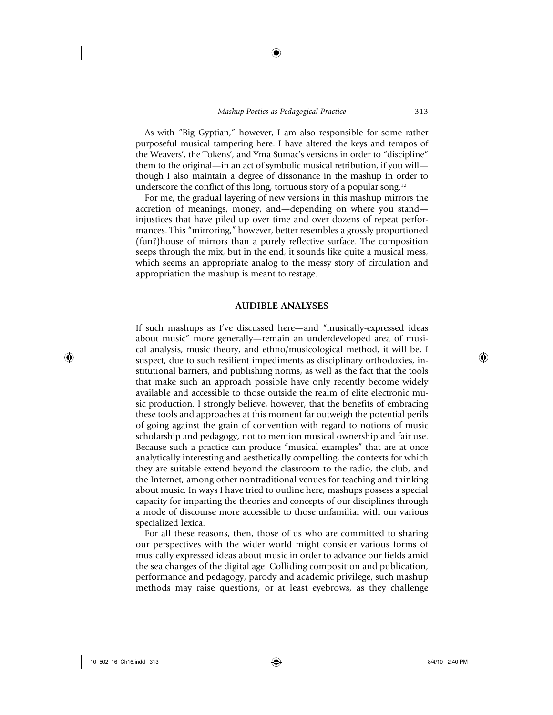#### *Mashup Poetics as Pedagogical Practice* 313

↔

As with "Big Gyptian," however, I am also responsible for some rather purposeful musical tampering here. I have altered the keys and tempos of the Weavers', the Tokens', and Yma Sumac's versions in order to "discipline" them to the original—in an act of symbolic musical retribution, if you will though I also maintain a degree of dissonance in the mashup in order to underscore the conflict of this long, tortuous story of a popular song.<sup>12</sup>

For me, the gradual layering of new versions in this mashup mirrors the accretion of meanings, money, and—depending on where you stand injustices that have piled up over time and over dozens of repeat performances. This "mirroring," however, better resembles a grossly proportioned (fun?)house of mirrors than a purely reflective surface. The composition seeps through the mix, but in the end, it sounds like quite a musical mess, which seems an appropriate analog to the messy story of circulation and appropriation the mashup is meant to restage.

#### **AUDIBLE ANALYSES**

If such mashups as I've discussed here—and "musically-expressed ideas about music" more generally—remain an underdeveloped area of musical analysis, music theory, and ethno/musicological method, it will be, I suspect, due to such resilient impediments as disciplinary orthodoxies, institutional barriers, and publishing norms, as well as the fact that the tools that make such an approach possible have only recently become widely available and accessible to those outside the realm of elite electronic music production. I strongly believe, however, that the benefits of embracing these tools and approaches at this moment far outweigh the potential perils of going against the grain of convention with regard to notions of music scholarship and pedagogy, not to mention musical ownership and fair use. Because such a practice can produce "musical examples" that are at once analytically interesting and aesthetically compelling, the contexts for which they are suitable extend beyond the classroom to the radio, the club, and the Internet, among other nontraditional venues for teaching and thinking about music. In ways I have tried to outline here, mashups possess a special capacity for imparting the theories and concepts of our disciplines through a mode of discourse more accessible to those unfamiliar with our various specialized lexica.

For all these reasons, then, those of us who are committed to sharing our perspectives with the wider world might consider various forms of musically expressed ideas about music in order to advance our fields amid the sea changes of the digital age. Colliding composition and publication, performance and pedagogy, parody and academic privilege, such mashup methods may raise questions, or at least eyebrows, as they challenge

### 10\_502\_16\_Ch16.indd 313 8/4/10 2:40 PM /4/10 2:40 PM /4/10 2:40 PM /4/10 2:40 PM /4/10 2:40 PM /4/10 2:40 PM /4/10 2:40 PM /4/10 2:40 PM /4/10 2:40 PM /4/10 2:40 PM /4/10 2:40 PM /4/10 2:40 PM /4/10 2:40 PM /4/10 2:40 PM /

⊕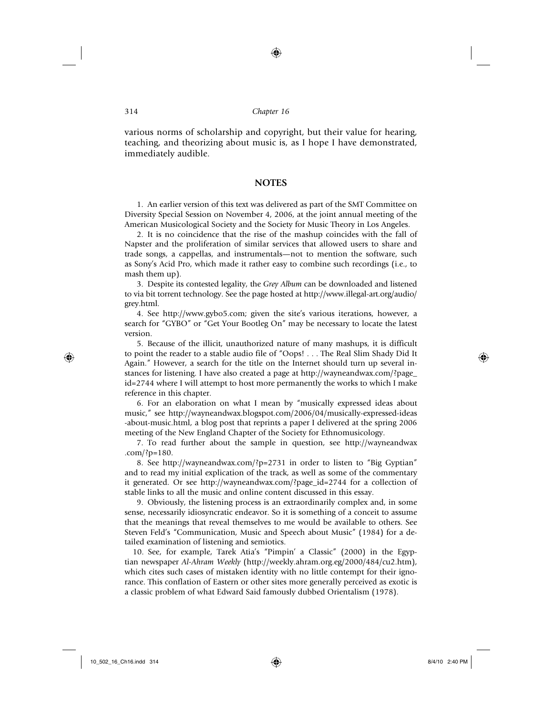⊕

various norms of scholarship and copyright, but their value for hearing, teaching, and theorizing about music is, as I hope I have demonstrated, immediately audible.

#### **NOTES**

 1. An earlier version of this text was delivered as part of the SMT Committee on Diversity Special Session on November 4, 2006, at the joint annual meeting of the American Musicological Society and the Society for Music Theory in Los Angeles.

 2. It is no coincidence that the rise of the mashup coincides with the fall of Napster and the proliferation of similar services that allowed users to share and trade songs, a cappellas, and instrumentals—not to mention the software, such as Sony's Acid Pro, which made it rather easy to combine such recordings (i.e., to mash them up).

 3. Despite its contested legality, the *Grey Album* can be downloaded and listened to via bit torrent technology. See the page hosted at http://www.illegal-art.org/audio/ grey.html.

 4. See http://www.gybo5.com; given the site's various iterations, however, a search for "GYBO" or "Get Your Bootleg On" may be necessary to locate the latest version.

 5. Because of the illicit, unauthorized nature of many mashups, it is difficult to point the reader to a stable audio file of "Oops! . . . The Real Slim Shady Did It Again." However, a search for the title on the Internet should turn up several instances for listening. I have also created a page at http://wayneandwax.com/?page\_ id=2744 where I will attempt to host more permanently the works to which I make reference in this chapter.

 6. For an elaboration on what I mean by "musically expressed ideas about music," see http://wayneandwax.blogspot.com/2006/04/musically-expressed-ideas -about-music.html, a blog post that reprints a paper I delivered at the spring 2006 meeting of the New England Chapter of the Society for Ethnomusicology.

 7. To read further about the sample in question, see http://wayneandwax  $.com$ ?p=180.

 8. See http://wayneandwax.com/?p=2731 in order to listen to "Big Gyptian" and to read my initial explication of the track, as well as some of the commentary it generated. Or see http://wayneandwax.com/?page\_id=2744 for a collection of stable links to all the music and online content discussed in this essay.

 9. Obviously, the listening process is an extraordinarily complex and, in some sense, necessarily idiosyncratic endeavor. So it is something of a conceit to assume that the meanings that reveal themselves to me would be available to others. See Steven Feld's "Communication, Music and Speech about Music" (1984) for a detailed examination of listening and semiotics.

10. See, for example, Tarek Atia's "Pimpin' a Classic" (2000) in the Egyptian newspaper *Al-Ahram Weekly* (http://weekly.ahram.org.eg/2000/484/cu2.htm), which cites such cases of mistaken identity with no little contempt for their ignorance. This conflation of Eastern or other sites more generally perceived as exotic is a classic problem of what Edward Said famously dubbed Orientalism (1978).

 $\bigoplus$ 

⊕